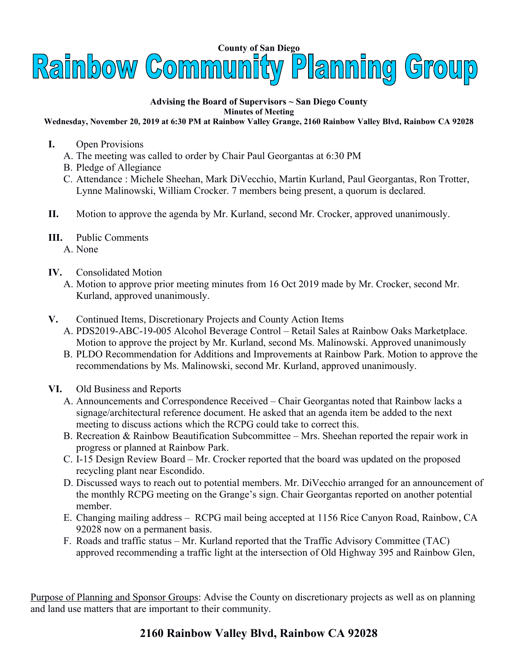

## **Advising the Board of Supervisors ~ San Diego County Minutes of Meeting**

**Wednesday, November 20, 2019 at 6:30 PM at Rainbow Valley Grange, 2160 Rainbow Valley Blvd, Rainbow CA 92028**

- **I.** Open Provisions
	- A. The meeting was called to order by Chair Paul Georgantas at 6:30 PM
	- B. Pledge of Allegiance
	- C. Attendance : Michele Sheehan, Mark DiVecchio, Martin Kurland, Paul Georgantas, Ron Trotter, Lynne Malinowski, William Crocker. 7 members being present, a quorum is declared.
- **II.** Motion to approve the agenda by Mr. Kurland, second Mr. Crocker, approved unanimously.
- **III.** Public Comments
	- A. None
- **IV.** Consolidated Motion
	- A. Motion to approve prior meeting minutes from 16 Oct 2019 made by Mr. Crocker, second Mr. Kurland, approved unanimously.
- **V.** Continued Items, Discretionary Projects and County Action Items
	- A. PDS2019-ABC-19-005 Alcohol Beverage Control Retail Sales at Rainbow Oaks Marketplace. Motion to approve the project by Mr. Kurland, second Ms. Malinowski. Approved unanimously
	- B. PLDO Recommendation for Additions and Improvements at Rainbow Park. Motion to approve the recommendations by Ms. Malinowski, second Mr. Kurland, approved unanimously.
- **VI.** Old Business and Reports
	- A. Announcements and Correspondence Received Chair Georgantas noted that Rainbow lacks a signage/architectural reference document. He asked that an agenda item be added to the next meeting to discuss actions which the RCPG could take to correct this.
	- B. Recreation & Rainbow Beautification Subcommittee Mrs. Sheehan reported the repair work in progress or planned at Rainbow Park.
	- C. I-15 Design Review Board Mr. Crocker reported that the board was updated on the proposed recycling plant near Escondido.
	- D. Discussed ways to reach out to potential members. Mr. DiVecchio arranged for an announcement of the monthly RCPG meeting on the Grange's sign. Chair Georgantas reported on another potential member.
	- E. Changing mailing address RCPG mail being accepted at 1156 Rice Canyon Road, Rainbow, CA 92028 now on a permanent basis.
	- F. Roads and traffic status Mr. Kurland reported that the Traffic Advisory Committee (TAC) approved recommending a traffic light at the intersection of Old Highway 395 and Rainbow Glen,

Purpose of Planning and Sponsor Groups: Advise the County on discretionary projects as well as on planning and land use matters that are important to their community.

## **2160 Rainbow Valley Blvd, Rainbow CA 92028**